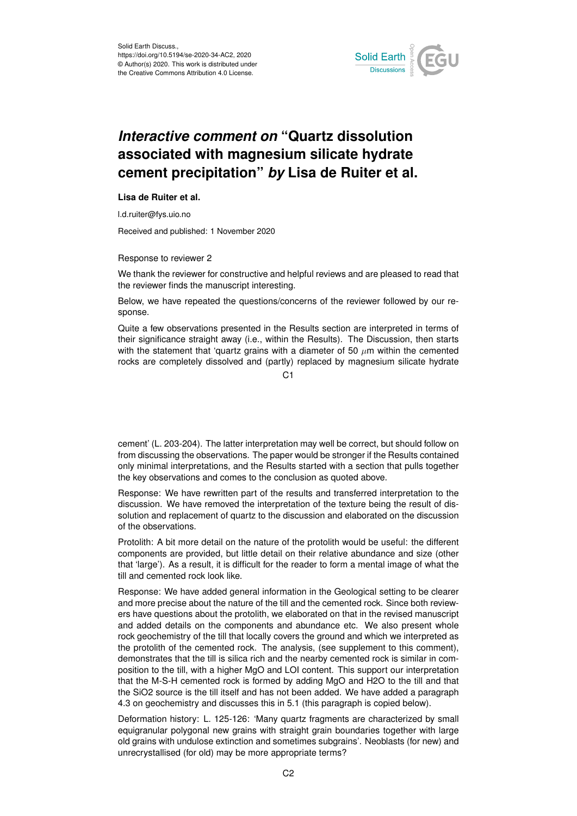

## *Interactive comment on* **"Quartz dissolution associated with magnesium silicate hydrate cement precipitation"** *by* **Lisa de Ruiter et al.**

## **Lisa de Ruiter et al.**

l.d.ruiter@fys.uio.no

Received and published: 1 November 2020

Response to reviewer 2

We thank the reviewer for constructive and helpful reviews and are pleased to read that the reviewer finds the manuscript interesting.

Below, we have repeated the questions/concerns of the reviewer followed by our response.

Quite a few observations presented in the Results section are interpreted in terms of their significance straight away (i.e., within the Results). The Discussion, then starts with the statement that 'quartz grains with a diameter of 50  $\mu$ m within the cemented rocks are completely dissolved and (partly) replaced by magnesium silicate hydrate

 $C<sub>1</sub>$ 

cement' (L. 203-204). The latter interpretation may well be correct, but should follow on from discussing the observations. The paper would be stronger if the Results contained only minimal interpretations, and the Results started with a section that pulls together the key observations and comes to the conclusion as quoted above.

Response: We have rewritten part of the results and transferred interpretation to the discussion. We have removed the interpretation of the texture being the result of dissolution and replacement of quartz to the discussion and elaborated on the discussion of the observations.

Protolith: A bit more detail on the nature of the protolith would be useful: the different components are provided, but little detail on their relative abundance and size (other that 'large'). As a result, it is difficult for the reader to form a mental image of what the till and cemented rock look like.

Response: We have added general information in the Geological setting to be clearer and more precise about the nature of the till and the cemented rock. Since both reviewers have questions about the protolith, we elaborated on that in the revised manuscript and added details on the components and abundance etc. We also present whole rock geochemistry of the till that locally covers the ground and which we interpreted as the protolith of the cemented rock. The analysis, (see supplement to this comment), demonstrates that the till is silica rich and the nearby cemented rock is similar in composition to the till, with a higher MgO and LOI content. This support our interpretation that the M-S-H cemented rock is formed by adding MgO and H2O to the till and that the SiO2 source is the till itself and has not been added. We have added a paragraph 4.3 on geochemistry and discusses this in 5.1 (this paragraph is copied below).

Deformation history: L. 125-126: 'Many quartz fragments are characterized by small equigranular polygonal new grains with straight grain boundaries together with large old grains with undulose extinction and sometimes subgrains'. Neoblasts (for new) and unrecrystallised (for old) may be more appropriate terms?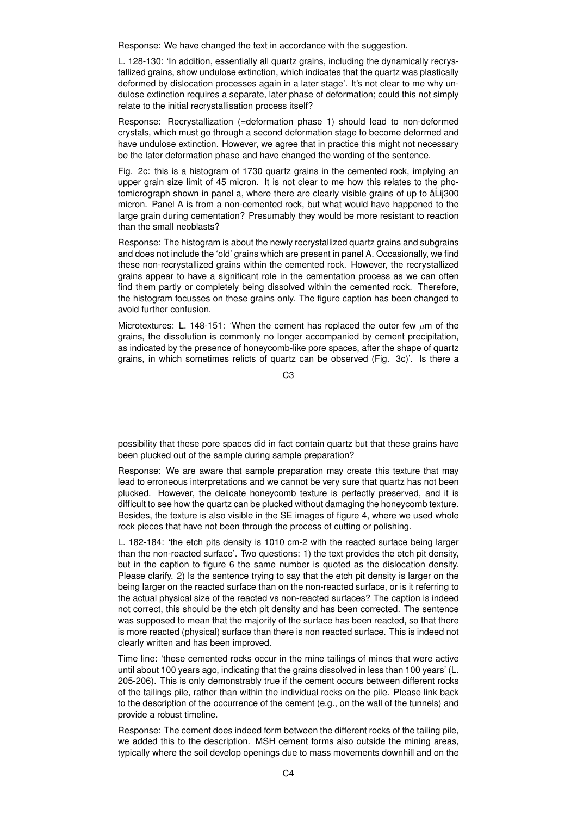Response: We have changed the text in accordance with the suggestion.

L. 128-130: 'In addition, essentially all quartz grains, including the dynamically recrystallized grains, show undulose extinction, which indicates that the quartz was plastically deformed by dislocation processes again in a later stage'. It's not clear to me why undulose extinction requires a separate, later phase of deformation; could this not simply relate to the initial recrystallisation process itself?

Response: Recrystallization (=deformation phase 1) should lead to non-deformed crystals, which must go through a second deformation stage to become deformed and have undulose extinction. However, we agree that in practice this might not necessary be the later deformation phase and have changed the wording of the sentence.

Fig. 2c: this is a histogram of 1730 quartz grains in the cemented rock, implying an upper grain size limit of 45 micron. It is not clear to me how this relates to the photomicrograph shown in panel a, where there are clearly visible grains of up to â Lij300 micron. Panel A is from a non-cemented rock, but what would have happened to the large grain during cementation? Presumably they would be more resistant to reaction than the small neoblasts?

Response: The histogram is about the newly recrystallized quartz grains and subgrains and does not include the 'old' grains which are present in panel A. Occasionally, we find these non-recrystallized grains within the cemented rock. However, the recrystallized grains appear to have a significant role in the cementation process as we can often find them partly or completely being dissolved within the cemented rock. Therefore, the histogram focusses on these grains only. The figure caption has been changed to avoid further confusion.

Microtextures: L. 148-151: 'When the cement has replaced the outer few  $\mu$ m of the grains, the dissolution is commonly no longer accompanied by cement precipitation, as indicated by the presence of honeycomb-like pore spaces, after the shape of quartz grains, in which sometimes relicts of quartz can be observed (Fig. 3c)'. Is there a

C3

possibility that these pore spaces did in fact contain quartz but that these grains have been plucked out of the sample during sample preparation?

Response: We are aware that sample preparation may create this texture that may lead to erroneous interpretations and we cannot be very sure that quartz has not been plucked. However, the delicate honeycomb texture is perfectly preserved, and it is difficult to see how the quartz can be plucked without damaging the honeycomb texture. Besides, the texture is also visible in the SE images of figure 4, where we used whole rock pieces that have not been through the process of cutting or polishing.

L. 182-184: 'the etch pits density is 1010 cm-2 with the reacted surface being larger than the non-reacted surface'. Two questions: 1) the text provides the etch pit density, but in the caption to figure 6 the same number is quoted as the dislocation density. Please clarify. 2) Is the sentence trying to say that the etch pit density is larger on the being larger on the reacted surface than on the non-reacted surface, or is it referring to the actual physical size of the reacted vs non-reacted surfaces? The caption is indeed not correct, this should be the etch pit density and has been corrected. The sentence was supposed to mean that the majority of the surface has been reacted, so that there is more reacted (physical) surface than there is non reacted surface. This is indeed not clearly written and has been improved.

Time line: 'these cemented rocks occur in the mine tailings of mines that were active until about 100 years ago, indicating that the grains dissolved in less than 100 years' (L. 205-206). This is only demonstrably true if the cement occurs between different rocks of the tailings pile, rather than within the individual rocks on the pile. Please link back to the description of the occurrence of the cement (e.g., on the wall of the tunnels) and provide a robust timeline.

Response: The cement does indeed form between the different rocks of the tailing pile, we added this to the description. MSH cement forms also outside the mining areas, typically where the soil develop openings due to mass movements downhill and on the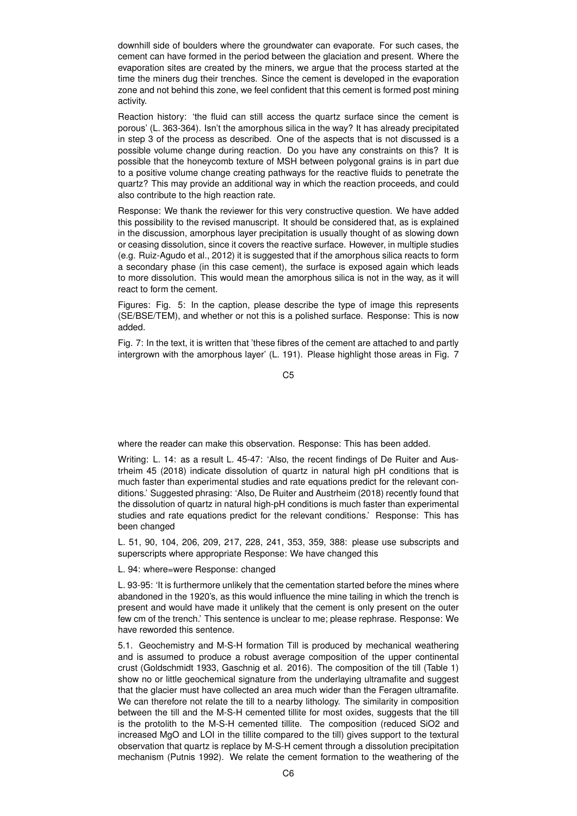downhill side of boulders where the groundwater can evaporate. For such cases, the cement can have formed in the period between the glaciation and present. Where the evaporation sites are created by the miners, we argue that the process started at the time the miners dug their trenches. Since the cement is developed in the evaporation zone and not behind this zone, we feel confident that this cement is formed post mining activity.

Reaction history: 'the fluid can still access the quartz surface since the cement is porous' (L. 363-364). Isn't the amorphous silica in the way? It has already precipitated in step 3 of the process as described. One of the aspects that is not discussed is a possible volume change during reaction. Do you have any constraints on this? It is possible that the honeycomb texture of MSH between polygonal grains is in part due to a positive volume change creating pathways for the reactive fluids to penetrate the quartz? This may provide an additional way in which the reaction proceeds, and could also contribute to the high reaction rate.

Response: We thank the reviewer for this very constructive question. We have added this possibility to the revised manuscript. It should be considered that, as is explained in the discussion, amorphous layer precipitation is usually thought of as slowing down or ceasing dissolution, since it covers the reactive surface. However, in multiple studies (e.g. Ruiz-Agudo et al., 2012) it is suggested that if the amorphous silica reacts to form a secondary phase (in this case cement), the surface is exposed again which leads to more dissolution. This would mean the amorphous silica is not in the way, as it will react to form the cement.

Figures: Fig. 5: In the caption, please describe the type of image this represents (SE/BSE/TEM), and whether or not this is a polished surface. Response: This is now added.

Fig. 7: In the text, it is written that 'these fibres of the cement are attached to and partly intergrown with the amorphous layer' (L. 191). Please highlight those areas in Fig. 7

 $C<sub>5</sub>$ 

where the reader can make this observation. Response: This has been added.

Writing: L. 14: as a result L. 45-47: 'Also, the recent findings of De Ruiter and Austrheim 45 (2018) indicate dissolution of quartz in natural high pH conditions that is much faster than experimental studies and rate equations predict for the relevant conditions.' Suggested phrasing: 'Also, De Ruiter and Austrheim (2018) recently found that the dissolution of quartz in natural high-pH conditions is much faster than experimental studies and rate equations predict for the relevant conditions.' Response: This has been changed

L. 51, 90, 104, 206, 209, 217, 228, 241, 353, 359, 388: please use subscripts and superscripts where appropriate Response: We have changed this

L. 94: where=were Response: changed

L. 93-95: 'It is furthermore unlikely that the cementation started before the mines where abandoned in the 1920's, as this would influence the mine tailing in which the trench is present and would have made it unlikely that the cement is only present on the outer few cm of the trench.' This sentence is unclear to me; please rephrase. Response: We have reworded this sentence.

5.1. Geochemistry and M-S-H formation Till is produced by mechanical weathering and is assumed to produce a robust average composition of the upper continental crust (Goldschmidt 1933, Gaschnig et al. 2016). The composition of the till (Table 1) show no or little geochemical signature from the underlaying ultramafite and suggest that the glacier must have collected an area much wider than the Feragen ultramafite. We can therefore not relate the till to a nearby lithology. The similarity in composition between the till and the M-S-H cemented tillite for most oxides, suggests that the till is the protolith to the M-S-H cemented tillite. The composition (reduced SiO2 and increased MgO and LOI in the tillite compared to the till) gives support to the textural observation that quartz is replace by M-S-H cement through a dissolution precipitation mechanism (Putnis 1992). We relate the cement formation to the weathering of the